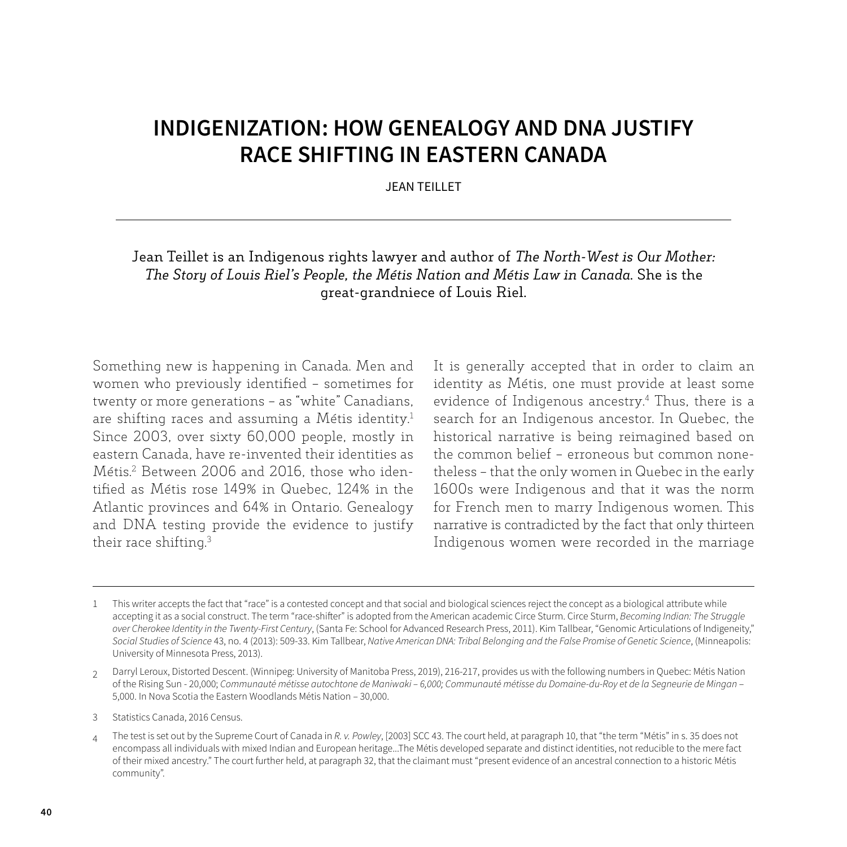## **INDIGENIZATION: HOW GENEALOGY AND DNA JUSTIFY RACE SHIFTING IN EASTERN CANADA**

JEAN TEILLET

## Jean Teillet is an Indigenous rights lawyer and author of *The North-West is Our Mother: The Story of Louis Riel's People, the Métis Nation and Métis Law in Canada*. She is the great-grandniece of Louis Riel.

Something new is happening in Canada. Men and women who previously identified – sometimes for twenty or more generations – as "white" Canadians, are shifting races and assuming a Métis identity.<sup>1</sup> Since 2003, over sixty 60,000 people, mostly in eastern Canada, have re-invented their identities as Métis.2 Between 2006 and 2016, those who identified as Métis rose 149% in Quebec, 124% in the Atlantic provinces and 64% in Ontario. Genealogy and DNA testing provide the evidence to justify their race shifting.3

It is generally accepted that in order to claim an identity as Métis, one must provide at least some evidence of Indigenous ancestry.4 Thus, there is a search for an Indigenous ancestor. In Quebec, the historical narrative is being reimagined based on the common belief – erroneous but common nonetheless – that the only women in Quebec in the early 1600s were Indigenous and that it was the norm for French men to marry Indigenous women. This narrative is contradicted by the fact that only thirteen Indigenous women were recorded in the marriage

<sup>1</sup> This writer accepts the fact that "race" is a contested concept and that social and biological sciences reject the concept as a biological attribute while accepting it as a social construct. The term "race-shifter" is adopted from the American academic Circe Sturm. Circe Sturm, *Becoming Indian: The Struggle over Cherokee Identity in the Twenty-First Century*, (Santa Fe: School for Advanced Research Press, 2011). Kim Tallbear, "Genomic Articulations of Indigeneity," *Social Studies of Science* 43, no. 4 (2013): 509-33. Kim Tallbear, *Native American DNA: Tribal Belonging and the False Promise of Genetic Science*, (Minneapolis: University of Minnesota Press, 2013).

<sup>2</sup> Darryl Leroux, Distorted Descent. (Winnipeg: University of Manitoba Press, 2019), 216-217, provides us with the following numbers in Quebec: Métis Nation of the Rising Sun - 20,000; *Communauté métisse autochtone de Maniwaki – 6,000; Communauté métisse du Domaine-du-Roy et de la Segneurie de Mingan* – 5,000. In Nova Scotia the Eastern Woodlands Métis Nation – 30,000.

<sup>3</sup> Statistics Canada, 2016 Census.

<sup>4</sup> The test is set out by the Supreme Court of Canada in *R. v. Powley*, [2003] SCC 43. The court held, at paragraph 10, that "the term "Métis" in s. 35 does not encompass all individuals with mixed Indian and European heritage...The Métis developed separate and distinct identities, not reducible to the mere fact of their mixed ancestry." The court further held, at paragraph 32, that the claimant must "present evidence of an ancestral connection to a historic Métis community".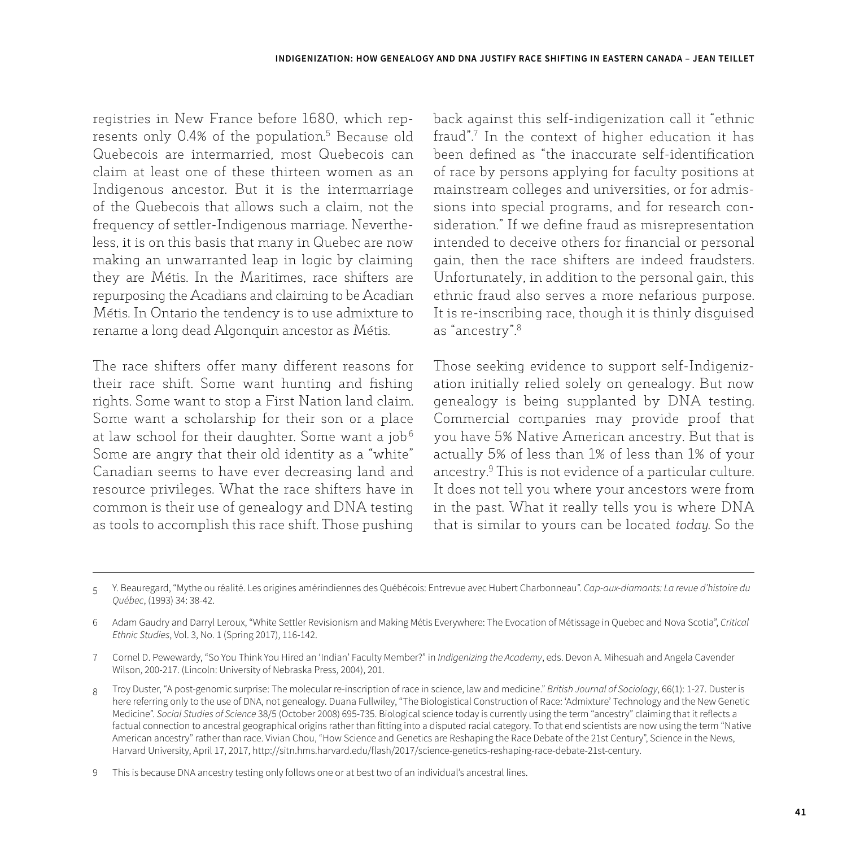registries in New France before 1680, which represents only 0.4% of the population.<sup>5</sup> Because old Quebecois are intermarried, most Quebecois can claim at least one of these thirteen women as an Indigenous ancestor. But it is the intermarriage of the Quebecois that allows such a claim, not the frequency of settler-Indigenous marriage. Nevertheless, it is on this basis that many in Quebec are now making an unwarranted leap in logic by claiming they are Métis. In the Maritimes, race shifters are repurposing the Acadians and claiming to be Acadian Métis. In Ontario the tendency is to use admixture to rename a long dead Algonquin ancestor as Métis.

The race shifters offer many different reasons for their race shift. Some want hunting and fishing rights. Some want to stop a First Nation land claim. Some want a scholarship for their son or a place at law school for their daughter. Some want a job.<sup>6</sup> Some are angry that their old identity as a "white" Canadian seems to have ever decreasing land and resource privileges. What the race shifters have in common is their use of genealogy and DNA testing as tools to accomplish this race shift. Those pushing back against this self-indigenization call it "ethnic fraud".7 In the context of higher education it has been defined as "the inaccurate self-identification of race by persons applying for faculty positions at mainstream colleges and universities, or for admissions into special programs, and for research consideration." If we define fraud as misrepresentation intended to deceive others for financial or personal gain, then the race shifters are indeed fraudsters. Unfortunately, in addition to the personal gain, this ethnic fraud also serves a more nefarious purpose. It is re-inscribing race, though it is thinly disguised as "ancestry".8

Those seeking evidence to support self-Indigenization initially relied solely on genealogy. But now genealogy is being supplanted by DNA testing. Commercial companies may provide proof that you have 5% Native American ancestry. But that is actually 5% of less than 1% of less than 1% of your ancestry.9 This is not evidence of a particular culture. It does not tell you where your ancestors were from in the past. What it really tells you is where DNA that is similar to yours can be located *today*. So the

<sup>5</sup> Y. Beauregard, "Mythe ou réalité. Les origines amérindiennes des Québécois: Entrevue avec Hubert Charbonneau". *Cap-aux-diamants: La revue d'histoire du Québec*, (1993) 34: 38-42.

<sup>6</sup> Adam Gaudry and Darryl Leroux, "White Settler Revisionism and Making Métis Everywhere: The Evocation of Métissage in Quebec and Nova Scotia", *Critical Ethnic Studies*, Vol. 3, No. 1 (Spring 2017), 116-142.

<sup>7</sup> Cornel D. Pewewardy, "So You Think You Hired an 'Indian' Faculty Member?" in *Indigenizing the Academy*, eds. Devon A. Mihesuah and Angela Cavender Wilson, 200-217. (Lincoln: University of Nebraska Press, 2004), 201.

<sup>8</sup> Troy Duster, "A post-genomic surprise: The molecular re-inscription of race in science, law and medicine." *British Journal of Sociology*, 66(1): 1-27. Duster is here referring only to the use of DNA, not genealogy. Duana Fullwiley, "The Biologistical Construction of Race: 'Admixture' Technology and the New Genetic Medicine". *Social Studies of Science* 38/5 (October 2008) 695-735. Biological science today is currently using the term "ancestry" claiming that it reflects a factual connection to ancestral geographical origins rather than fitting into a disputed racial category. To that end scientists are now using the term "Native American ancestry" rather than race. Vivian Chou, "How Science and Genetics are Reshaping the Race Debate of the 21st Century", Science in the News, Harvard University, April 17, 2017, http://sitn.hms.harvard.edu/flash/2017/science-genetics-reshaping-race-debate-21st-century.

<sup>9</sup> This is because DNA ancestry testing only follows one or at best two of an individual's ancestral lines.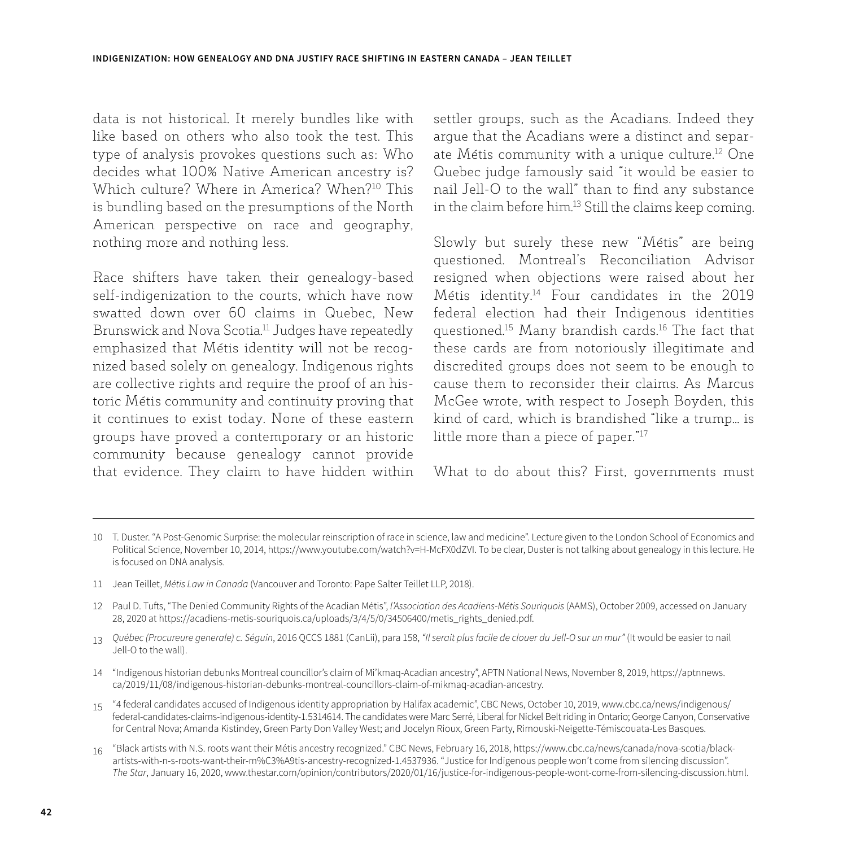data is not historical. It merely bundles like with like based on others who also took the test. This type of analysis provokes questions such as: Who decides what 100% Native American ancestry is? Which culture? Where in America? When?<sup>10</sup> This is bundling based on the presumptions of the North American perspective on race and geography, nothing more and nothing less.

Race shifters have taken their genealogy-based self-indigenization to the courts, which have now swatted down over 60 claims in Quebec, New Brunswick and Nova Scotia.11 Judges have repeatedly emphasized that Métis identity will not be recognized based solely on genealogy. Indigenous rights are collective rights and require the proof of an historic Métis community and continuity proving that it continues to exist today. None of these eastern groups have proved a contemporary or an historic community because genealogy cannot provide that evidence. They claim to have hidden within

settler groups, such as the Acadians. Indeed they argue that the Acadians were a distinct and separate Métis community with a unique culture.<sup>12</sup> One Quebec judge famously said "it would be easier to nail Jell-O to the wall" than to find any substance in the claim before him.13 Still the claims keep coming.

Slowly but surely these new "Métis" are being questioned. Montreal's Reconciliation Advisor resigned when objections were raised about her Métis identity.14 Four candidates in the 2019 federal election had their Indigenous identities questioned.15 Many brandish cards.16 The fact that these cards are from notoriously illegitimate and discredited groups does not seem to be enough to cause them to reconsider their claims. As Marcus McGee wrote, with respect to Joseph Boyden, this kind of card, which is brandished "like a trump... is little more than a piece of paper."17

What to do about this? First, governments must

- 11 Jean Teillet, *Métis Law in Canada* (Vancouver and Toronto: Pape Salter Teillet LLP, 2018).
- 12 Paul D. Tufts, "The Denied Community Rights of the Acadian Métis", *l'Association des Acadiens-Métis Souriquois* (AAMS), October 2009, accessed on January 28, 2020 at https://acadiens-metis-souriquois.ca/uploads/3/4/5/0/34506400/metis\_rights\_denied.pdf.
- 13 *Québec (Procureure generale) c. Séguin*, 2016 QCCS 1881 (CanLii), para 158, *"Il serait plus facile de clouer du Jell-O sur un mur"* (It would be easier to nail Jell-O to the wall).
- 14 "Indigenous historian debunks Montreal councillor's claim of Mi'kmaq-Acadian ancestry", APTN National News, November 8, 2019, https://aptnnews. ca/2019/11/08/indigenous-historian-debunks-montreal-councillors-claim-of-mikmaq-acadian-ancestry.
- 15 "4 federal candidates accused of Indigenous identity appropriation by Halifax academic", CBC News, October 10, 2019, www.cbc.ca/news/indigenous/ federal-candidates-claims-indigenous-identity-1.5314614. The candidates were Marc Serré, Liberal for Nickel Belt riding in Ontario; George Canyon, Conservative for Central Nova; Amanda Kistindey, Green Party Don Valley West; and Jocelyn Rioux, Green Party, Rimouski-Neigette-Témiscouata-Les Basques.
- 16 "Black artists with N.S. roots want their Métis ancestry recognized." CBC News, February 16, 2018, https://www.cbc.ca/news/canada/nova-scotia/blackartists-with-n-s-roots-want-their-m%C3%A9tis-ancestry-recognized-1.4537936. "Justice for Indigenous people won't come from silencing discussion". *The Star*, January 16, 2020, www.thestar.com/opinion/contributors/2020/01/16/justice-for-indigenous-people-wont-come-from-silencing-discussion.html.

<sup>10</sup> T. Duster. "A Post-Genomic Surprise: the molecular reinscription of race in science, law and medicine". Lecture given to the London School of Economics and Political Science, November 10, 2014, https://www.youtube.com/watch?v=H-McFX0dZVI. To be clear, Duster is not talking about genealogy in this lecture. He is focused on DNA analysis.